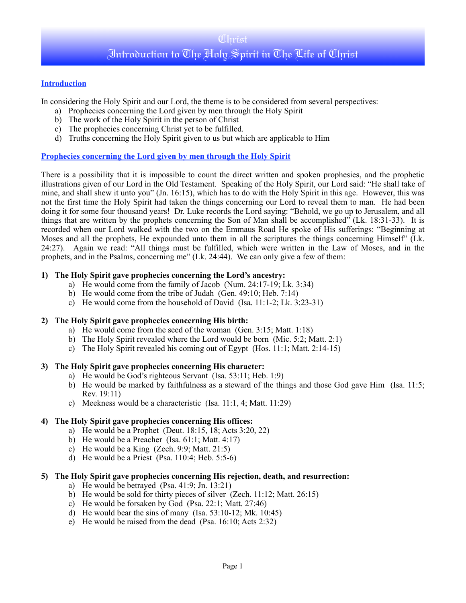# **Introduction**

In considering the Holy Spirit and our Lord, the theme is to be considered from several perspectives:

- a) Prophecies concerning the Lord given by men through the Holy Spirit
- b) The work of the Holy Spirit in the person of Christ
- c) The prophecies concerning Christ yet to be fulfilled.
- d) Truths concerning the Holy Spirit given to us but which are applicable to Him

## **Prophecies concerning the Lord given by men through the Holy Spirit**

There is a possibility that it is impossible to count the direct written and spoken prophesies, and the prophetic illustrations given of our Lord in the Old Testament. Speaking of the Holy Spirit, our Lord said: "He shall take of mine, and shall shew it unto you" (Jn. 16:15), which has to do with the Holy Spirit in this age. However, this was not the first time the Holy Spirit had taken the things concerning our Lord to reveal them to man. He had been doing it for some four thousand years! Dr. Luke records the Lord saying: "Behold, we go up to Jerusalem, and all things that are written by the prophets concerning the Son of Man shall be accomplished" (Lk. 18:31-33). It is recorded when our Lord walked with the two on the Emmaus Road He spoke of His sufferings: "Beginning at Moses and all the prophets, He expounded unto them in all the scriptures the things concerning Himself" (Lk. 24:27). Again we read: "All things must be fulfilled, which were written in the Law of Moses, and in the prophets, and in the Psalms, concerning me" (Lk. 24:44). We can only give a few of them:

## **1) The Holy Spirit gave prophecies concerning the Lord's ancestry:**

- a) He would come from the family of Jacob (Num. 24:17-19; Lk. 3:34)
- b) He would come from the tribe of Judah (Gen. 49:10; Heb. 7:14)
- c) He would come from the household of David (Isa. 11:1-2; Lk. 3:23-31)

# **2) The Holy Spirit gave prophecies concerning His birth:**

- a) He would come from the seed of the woman (Gen. 3:15; Matt. 1:18)
- b) The Holy Spirit revealed where the Lord would be born (Mic. 5:2; Matt. 2:1)
- c) The Holy Spirit revealed his coming out of Egypt (Hos. 11:1; Matt. 2:14-15)

## **3) The Holy Spirit gave prophecies concerning His character:**

- a) He would be God's righteous Servant (Isa. 53:11; Heb. 1:9)
- b) He would be marked by faithfulness as a steward of the things and those God gave Him (Isa. 11:5; Rev. 19:11)
- c) Meekness would be a characteristic (Isa. 11:1, 4; Matt. 11:29)

# **4) The Holy Spirit gave prophecies concerning His offices:**

- a) He would be a Prophet (Deut. 18:15, 18; Acts 3:20, 22)
- b) He would be a Preacher (Isa. 61:1; Matt. 4:17)
- c) He would be a King (Zech. 9:9; Matt. 21:5)
- d) He would be a Priest (Psa. 110:4; Heb. 5:5-6)

# **5) The Holy Spirit gave prophecies concerning His rejection, death, and resurrection:**

- a) He would be betrayed (Psa. 41:9; Jn. 13:21)
- b) He would be sold for thirty pieces of silver (Zech. 11:12; Matt. 26:15)
- c) He would be forsaken by God (Psa. 22:1; Matt. 27:46)
- d) He would bear the sins of many (Isa. 53:10-12; Mk. 10:45)
- e) He would be raised from the dead (Psa. 16:10; Acts 2:32)